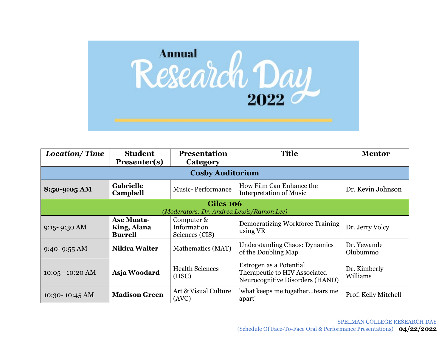

| <b>Location/Time</b>                                  | <b>Student</b><br>Presenter(s)                     | <b>Presentation</b><br>Category             | <b>Title</b>                                                                                | <b>Mentor</b>            |
|-------------------------------------------------------|----------------------------------------------------|---------------------------------------------|---------------------------------------------------------------------------------------------|--------------------------|
|                                                       |                                                    | <b>Cosby Auditorium</b>                     |                                                                                             |                          |
| $8:50-9:05 AM$                                        | <b>Gabrielle</b><br>Campbell                       | <b>Music-Performance</b>                    | How Film Can Enhance the<br><b>Interpretation of Music</b>                                  | Dr. Kevin Johnson        |
| Giles 106<br>(Moderators: Dr. Andrea Lewis/Ramon Lee) |                                                    |                                             |                                                                                             |                          |
| $9:15 - 9:30$ AM                                      | <b>Ase Muata-</b><br>King, Alana<br><b>Burrell</b> | Computer &<br>Information<br>Sciences (CIS) | <b>Democratizing Workforce Training</b><br>using VR                                         | Dr. Jerry Volcy          |
| $9:40 - 9:55$ AM                                      | <b>Nikira Walter</b>                               | Mathematics (MAT)                           | <b>Understanding Chaos: Dynamics</b><br>of the Doubling Map                                 | Dr. Yewande<br>Olubummo  |
| $10:05 - 10:20$ AM                                    | Asja Woodard                                       | <b>Health Sciences</b><br>(HSC)             | Estrogen as a Potential<br>Therapeutic to HIV Associated<br>Neurocognitive Disorders (HAND) | Dr. Kimberly<br>Williams |
| $10:30 - 10:45 \text{ AM}$                            | <b>Madison Green</b>                               | Art & Visual Culture<br>(AVC)               | 'what keeps me togethertears me<br>apart'                                                   | Prof. Kelly Mitchell     |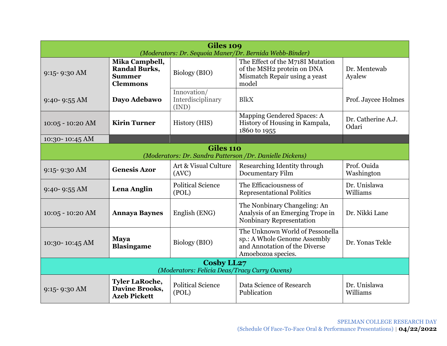| Giles 109<br>(Moderators: Dr. Sequoia Maner/Dr. Bernida Webb-Binder)          |                                                                            |                                           |                                                                                                                        |                             |  |
|-------------------------------------------------------------------------------|----------------------------------------------------------------------------|-------------------------------------------|------------------------------------------------------------------------------------------------------------------------|-----------------------------|--|
| $9:15 - 9:30$ AM                                                              | Mika Campbell,<br><b>Randal Burks,</b><br><b>Summer</b><br><b>Clemmons</b> | Biology (BIO)                             | The Effect of the M718I Mutation<br>of the MSH2 protein on DNA<br>Mismatch Repair using a yeast<br>model               | Dr. Mentewab<br>Ayalew      |  |
| $9:40 - 9:55$ AM                                                              | Dayo Adebawo                                                               | Innovation/<br>Interdisciplinary<br>(IND) | <b>BlkX</b>                                                                                                            | Prof. Jaycee Holmes         |  |
| $10:05 - 10:20$ AM                                                            | <b>Kirin Turner</b>                                                        | History (HIS)                             | Mapping Gendered Spaces: A<br>History of Housing in Kampala,<br>1860 to 1955                                           | Dr. Catherine A.J.<br>Odari |  |
| 10:30-10:45 AM                                                                |                                                                            |                                           |                                                                                                                        |                             |  |
| <b>Giles 110</b><br>(Moderators: Dr. Sandra Patterson / Dr. Danielle Dickens) |                                                                            |                                           |                                                                                                                        |                             |  |
|                                                                               |                                                                            |                                           |                                                                                                                        |                             |  |
| $9:15 - 9:30$ AM                                                              | <b>Genesis Azor</b>                                                        | Art & Visual Culture<br>(AVC)             | Researching Identity through<br><b>Documentary Film</b>                                                                | Prof. Ouida<br>Washington   |  |
| $9:40 - 9:55$ AM                                                              | Lena Anglin                                                                | <b>Political Science</b><br>(POL)         | The Efficaciousness of<br><b>Representational Politics</b>                                                             | Dr. Unislawa<br>Williams    |  |
| $10:05 - 10:20$ AM                                                            | <b>Annaya Baynes</b>                                                       | English (ENG)                             | The Nonbinary Changeling: An<br>Analysis of an Emerging Trope in<br>Nonbinary Representation                           | Dr. Nikki Lane              |  |
| 10:30-10:45 AM                                                                | <b>Maya</b><br><b>Blasingame</b>                                           | Biology (BIO)                             | The Unknown World of Pessonella<br>sp.: A Whole Genome Assembly<br>and Annotation of the Diverse<br>Amoebozoa species. | Dr. Yonas Tekle             |  |
| <b>Cosby LL27</b><br>(Moderators: Felicia Deas/Tracy Curry Owens)             |                                                                            |                                           |                                                                                                                        |                             |  |
| $9:15 - 9:30$ AM                                                              | <b>Tyler LaRoche,</b><br><b>Davine Brooks,</b><br><b>Azeb Pickett</b>      | <b>Political Science</b><br>(POL)         | Data Science of Research<br>Publication                                                                                | Dr. Unislawa<br>Williams    |  |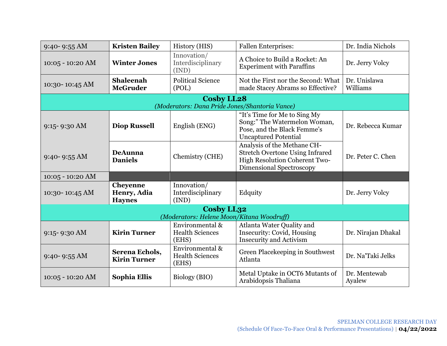| $9:40 - 9:55 AM$                                        | <b>Kristen Bailey</b>                           | History (HIS)                                                       | <b>Fallen Enterprises:</b>                                                                                                         | Dr. India Nichols        |  |
|---------------------------------------------------------|-------------------------------------------------|---------------------------------------------------------------------|------------------------------------------------------------------------------------------------------------------------------------|--------------------------|--|
| $10:05 - 10:20$ AM                                      | <b>Winter Jones</b>                             | Innovation/<br>Interdisciplinary<br>(IND)                           | A Choice to Build a Rocket: An<br><b>Experiment with Paraffins</b>                                                                 | Dr. Jerry Volcy          |  |
| 10:30-10:45 AM                                          | <b>Shaleenah</b><br><b>McGruder</b>             | <b>Political Science</b><br>(POL)                                   | Not the First nor the Second: What<br>made Stacey Abrams so Effective?                                                             | Dr. Unislawa<br>Williams |  |
|                                                         |                                                 | <b>Cosby LL28</b><br>(Moderators: Dana Pride Jones/Shantoria Vance) |                                                                                                                                    |                          |  |
| 9:15-9:30 AM                                            | <b>Diop Russell</b>                             | English (ENG)                                                       | "It's Time for Me to Sing My<br>Song:" The Watermelon Woman,<br>Pose, and the Black Femme's<br><b>Uncaptured Potential</b>         | Dr. Rebecca Kumar        |  |
| 9:40-9:55 AM                                            | <b>DeAunna</b><br><b>Daniels</b>                | Chemistry (CHE)                                                     | Analysis of the Methane CH-<br><b>Stretch Overtone Using Infrared</b><br>High Resolution Coherent Two-<br>Dimensional Spectroscopy | Dr. Peter C. Chen        |  |
| $10:05 - 10:20$ AM                                      |                                                 |                                                                     |                                                                                                                                    |                          |  |
| 10:30-10:45 AM                                          | <b>Cheyenne</b><br>Henry, Adia<br><b>Haynes</b> | Innovation/<br>Interdisciplinary<br>(IND)                           | Edquity                                                                                                                            | Dr. Jerry Volcy          |  |
| Cosby LL32<br>(Moderators: Helene Moon/Kitana Woodruff) |                                                 |                                                                     |                                                                                                                                    |                          |  |
| $9:15 - 9:30$ AM                                        | <b>Kirin Turner</b>                             | Environmental &<br><b>Health Sciences</b><br>(EHS)                  | Atlanta Water Quality and<br>Insecurity: Covid, Housing<br><b>Insecurity and Activism</b>                                          | Dr. Nirajan Dhakal       |  |
| $9:40 - 9:55 AM$                                        | Serena Echols,<br><b>Kirin Turner</b>           | Environmental &<br><b>Health Sciences</b><br>(EHS)                  | Green Placekeeping in Southwest<br>Atlanta                                                                                         | Dr. Na'Taki Jelks        |  |
| $10:05 - 10:20$ AM                                      | Sophia Ellis                                    | Biology (BIO)                                                       | Metal Uptake in OCT6 Mutants of<br>Arabidopsis Thaliana                                                                            | Dr. Mentewab<br>Ayalew   |  |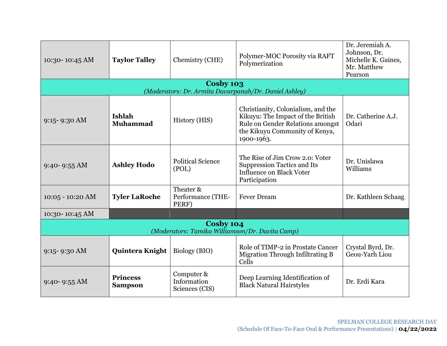| 10:30-10:45 AM                                               | <b>Taylor Talley</b>              | Chemistry (CHE)                             | Polymer-MOC Porosity via RAFT<br>Polymerization                                                                                                             | Dr. Jeremiah A.<br>Johnson, Dr.<br>Michelle K. Gaines,<br>Mr. Matthew<br>Pearson |  |
|--------------------------------------------------------------|-----------------------------------|---------------------------------------------|-------------------------------------------------------------------------------------------------------------------------------------------------------------|----------------------------------------------------------------------------------|--|
|                                                              |                                   | Cosby 103                                   | (Moderators: Dr. Armita Davarpanah/Dr. Daniel Ashley)                                                                                                       |                                                                                  |  |
| $9:15 - 9:30$ AM                                             | Ishlah<br>Muhammad                | History (HIS)                               | Christianity, Colonialism, and the<br>Kikuyu: The Impact of the British<br>Rule on Gender Relations amongst<br>the Kikuyu Community of Kenya,<br>1900-1963. | Dr. Catherine A.J.<br>Odari                                                      |  |
| $9:40 - 9:55$ AM                                             | <b>Ashley Hodo</b>                | <b>Political Science</b><br>(POL)           | The Rise of Jim Crow 2.0: Voter<br><b>Suppression Tactics and Its</b><br><b>Influence on Black Voter</b><br>Participation                                   | Dr. Unislawa<br>Williams                                                         |  |
| $10:05 - 10:20$ AM                                           | <b>Tyler LaRoche</b>              | Theater &<br>Performance (THE-<br>PERF)     | <b>Fever Dream</b>                                                                                                                                          | Dr. Kathleen Schaag                                                              |  |
| 10:30-10:45 AM                                               |                                   |                                             |                                                                                                                                                             |                                                                                  |  |
| Cosby 104<br>(Moderators: Tamika Williamson/Dr. Davita Camp) |                                   |                                             |                                                                                                                                                             |                                                                                  |  |
| $9:15 - 9:30$ AM                                             | Quintera Knight                   | Biology (BIO)                               | Role of TIMP-2 in Prostate Cancer<br><b>Migration Through Infiltrating B</b><br>Cells                                                                       | Crystal Byrd, Dr.<br>Geou-Yarh Liou                                              |  |
| $9:40 - 9:55$ AM                                             | <b>Princess</b><br><b>Sampson</b> | Computer &<br>Information<br>Sciences (CIS) | Deep Learning Identification of<br><b>Black Natural Hairstyles</b>                                                                                          | Dr. Erdi Kara                                                                    |  |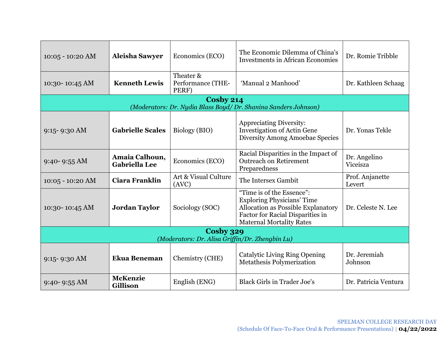| $10:05 - 10:20$ AM                                           | <b>Aleisha Sawyer</b>                  | Economics (ECO)                         | The Economic Dilemma of China's<br><b>Investments in African Economies</b>                                                                                                  | Dr. Romie Tribble         |  |
|--------------------------------------------------------------|----------------------------------------|-----------------------------------------|-----------------------------------------------------------------------------------------------------------------------------------------------------------------------------|---------------------------|--|
| 10:30-10:45 AM                                               | <b>Kenneth Lewis</b>                   | Theater &<br>Performance (THE-<br>PERF) | 'Manual 2 Manhood'                                                                                                                                                          | Dr. Kathleen Schaag       |  |
|                                                              |                                        | Cosby 214                               | (Moderators: Dr. Nydia Blass Boyd/Dr. Shanina Sanders Johnson)                                                                                                              |                           |  |
| $9:15 - 9:30$ AM                                             | <b>Gabrielle Scales</b>                | Biology (BIO)                           | <b>Appreciating Diversity:</b><br><b>Investigation of Actin Gene</b><br><b>Diversity Among Amoebae Species</b>                                                              | Dr. Yonas Tekle           |  |
| $9:40 - 9:55$ AM                                             | Amaia Calhoun,<br><b>Gabriella Lee</b> | Economics (ECO)                         | Racial Disparities in the Impact of<br><b>Outreach on Retirement</b><br>Preparedness                                                                                        | Dr. Angelino<br>Viceisza  |  |
| $10:05 - 10:20$ AM                                           | Ciara Franklin                         | Art & Visual Culture<br>(AVC)           | The Intersex Gambit                                                                                                                                                         | Prof. Anjanette<br>Levert |  |
| 10:30-10:45 AM                                               | <b>Jordan Taylor</b>                   | Sociology (SOC)                         | "Time is of the Essence":<br><b>Exploring Physicians' Time</b><br>Allocation as Possible Explanatory<br>Factor for Racial Disparities in<br><b>Maternal Mortality Rates</b> | Dr. Celeste N. Lee        |  |
| Cosby 329<br>(Moderators: Dr. Alisa Griffin/Dr. Zhengbin Lu) |                                        |                                         |                                                                                                                                                                             |                           |  |
| $9:15 - 9:30$ AM                                             | <b>Ekua Beneman</b>                    | Chemistry (CHE)                         | <b>Catalytic Living Ring Opening</b><br><b>Metathesis Polymerization</b>                                                                                                    | Dr. Jeremiah<br>Johnson   |  |
| $9:40 - 9:55$ AM                                             | <b>McKenzie</b><br><b>Gillison</b>     | English (ENG)                           | <b>Black Girls in Trader Joe's</b>                                                                                                                                          | Dr. Patricia Ventura      |  |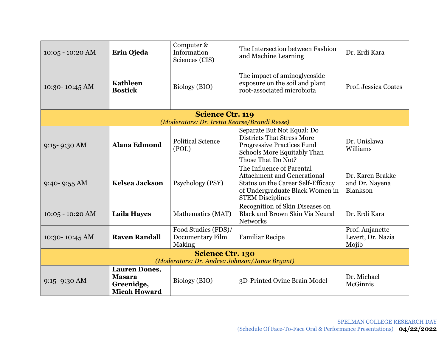| $10:05 - 10:20$ AM                                                       | Erin Ojeda                                                                 | Computer &<br>Information<br>Sciences (CIS)       | The Intersection between Fashion<br>and Machine Learning                                                                                                            | Dr. Erdi Kara                                  |  |
|--------------------------------------------------------------------------|----------------------------------------------------------------------------|---------------------------------------------------|---------------------------------------------------------------------------------------------------------------------------------------------------------------------|------------------------------------------------|--|
| 10:30-10:45 AM                                                           | <b>Kathleen</b><br><b>Bostick</b>                                          | Biology (BIO)                                     | The impact of aminoglycoside<br>exposure on the soil and plant<br>root-associated microbiota                                                                        | Prof. Jessica Coates                           |  |
|                                                                          |                                                                            | <b>Science Ctr. 119</b>                           |                                                                                                                                                                     |                                                |  |
|                                                                          |                                                                            | (Moderators: Dr. Iretta Kearse/Brandi Reese)      |                                                                                                                                                                     |                                                |  |
| $9:15 - 9:30$ AM                                                         | <b>Alana Edmond</b>                                                        | <b>Political Science</b><br>(POL)                 | Separate But Not Equal: Do<br>Districts That Stress More<br><b>Progressive Practices Fund</b><br>Schools More Equitably Than<br>Those That Do Not?                  | Dr. Unislawa<br>Williams                       |  |
| $9:40 - 9:55 AM$                                                         | <b>Kelsea Jackson</b>                                                      | Psychology (PSY)                                  | The Influence of Parental<br><b>Attachment and Generational</b><br>Status on the Career Self-Efficacy<br>of Undergraduate Black Women in<br><b>STEM Disciplines</b> | Dr. Karen Brakke<br>and Dr. Nayena<br>Blankson |  |
| $10:05 - 10:20$ AM                                                       | <b>Laila Hayes</b>                                                         | Mathematics (MAT)                                 | Recognition of Skin Diseases on<br><b>Black and Brown Skin Via Neural</b><br><b>Networks</b>                                                                        | Dr. Erdi Kara                                  |  |
| 10:30-10:45 AM                                                           | <b>Raven Randall</b>                                                       | Food Studies (FDS)/<br>Documentary Film<br>Making | <b>Familiar Recipe</b>                                                                                                                                              | Prof. Anjanette<br>Levert, Dr. Nazia<br>Mojib  |  |
| <b>Science Ctr. 130</b><br>(Moderators: Dr. Andrea Johnson/Janae Bryant) |                                                                            |                                                   |                                                                                                                                                                     |                                                |  |
| $9:15 - 9:30$ AM                                                         | <b>Lauren Dones,</b><br><b>Masara</b><br>Greenidge,<br><b>Micah Howard</b> | Biology (BIO)                                     | 3D-Printed Ovine Brain Model                                                                                                                                        | Dr. Michael<br>McGinnis                        |  |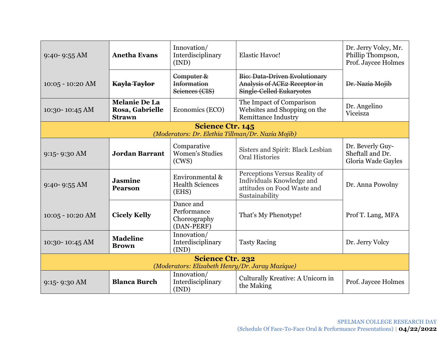| $9:40 - 9:55 AM$                                                           | <b>Anetha Evans</b>                                      | Innovation/<br>Interdisciplinary<br>(IND)                                    | <b>Elastic Havoc!</b>                                                                                       | Dr. Jerry Volcy, Mr.<br>Phillip Thompson,<br>Prof. Jaycee Holmes |
|----------------------------------------------------------------------------|----------------------------------------------------------|------------------------------------------------------------------------------|-------------------------------------------------------------------------------------------------------------|------------------------------------------------------------------|
| $10:05 - 10:20$ AM                                                         | <b>Kayla Taylor</b>                                      | Computer &<br>Information<br>Seiences (CIS)                                  | Bio: Data-Driven Evolutionary<br>Analysis of ACE2 Receptor in<br><b>Single-Celled Eukaryotes</b>            | Dr. Nazia Mojib                                                  |
| 10:30-10:45 AM                                                             | <b>Melanie De La</b><br>Rosa, Gabrielle<br><b>Strawn</b> | Economics (ECO)                                                              | The Impact of Comparison<br>Websites and Shopping on the<br><b>Remittance Industry</b>                      | Dr. Angelino<br>Viceisza                                         |
|                                                                            |                                                          | <b>Science Ctr. 145</b><br>(Moderators: Dr. Elethia Tillman/Dr. Nazia Mojib) |                                                                                                             |                                                                  |
| $9:15 - 9:30$ AM                                                           | <b>Jordan Barrant</b>                                    | Comparative<br><b>Women's Studies</b><br>(CWS)                               | Sisters and Spirit: Black Lesbian<br><b>Oral Histories</b>                                                  | Dr. Beverly Guy-<br>Sheftall and Dr.<br>Gloria Wade Gayles       |
| $9:40 - 9:55 AM$                                                           | <b>Jasmine</b><br><b>Pearson</b>                         | Environmental &<br><b>Health Sciences</b><br>(EHS)                           | Perceptions Versus Reality of<br>Individuals Knowledge and<br>attitudes on Food Waste and<br>Sustainability | Dr. Anna Powolny                                                 |
| $10:05 - 10:20$ AM                                                         | <b>Cicely Kelly</b>                                      | Dance and<br>Performance<br>Choreography<br>(DAN-PERF)                       | That's My Phenotype!                                                                                        | Prof T. Lang, MFA                                                |
| 10:30-10:45 AM                                                             | <b>Madeline</b><br><b>Brown</b>                          | Innovation/<br>Interdisciplinary<br>(IND)                                    | <b>Tasty Racing</b>                                                                                         | Dr. Jerry Volcy                                                  |
| <b>Science Ctr. 232</b><br>(Moderators: Elizabeth Henry/Dr. Jaray Mazique) |                                                          |                                                                              |                                                                                                             |                                                                  |
| $9:15 - 9:30$ AM                                                           | <b>Blanca Burch</b>                                      | Innovation/<br>Interdisciplinary<br>(IND)                                    | Culturally Kreative: A Unicorn in<br>the Making                                                             | Prof. Jaycee Holmes                                              |